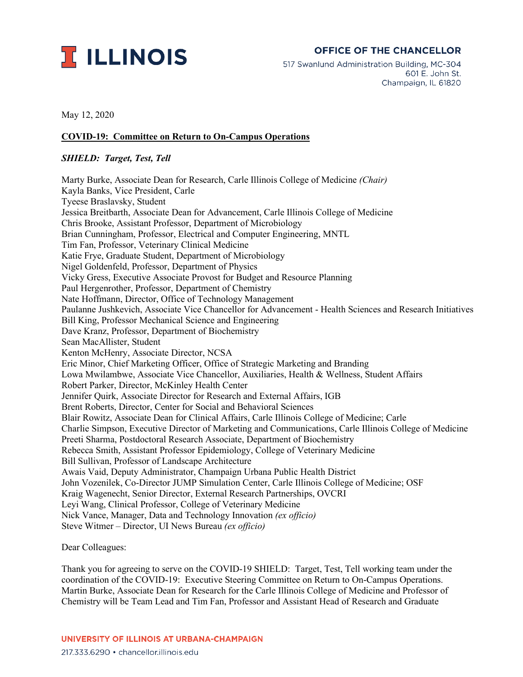

## **OFFICE OF THE CHANCELLOR**

517 Swanlund Administration Building, MC-304 601 E. John St. Champaign, IL 61820

May 12, 2020

## **COVID-19: Committee on Return to On-Campus Operations**

## *SHIELD: Target, Test, Tell*

Marty Burke, Associate Dean for Research, Carle Illinois College of Medicine *(Chair)* Kayla Banks, Vice President, Carle Tyeese Braslavsky, Student Jessica Breitbarth, Associate Dean for Advancement, Carle Illinois College of Medicine Chris Brooke, Assistant Professor, Department of Microbiology Brian Cunningham, Professor, Electrical and Computer Engineering, MNTL Tim Fan, Professor, Veterinary Clinical Medicine Katie Frye, Graduate Student, Department of Microbiology Nigel Goldenfeld, Professor, Department of Physics Vicky Gress, Executive Associate Provost for Budget and Resource Planning Paul Hergenrother, Professor, Department of Chemistry Nate Hoffmann, Director, Office of Technology Management Paulanne Jushkevich, Associate Vice Chancellor for Advancement - Health Sciences and Research Initiatives Bill King, Professor Mechanical Science and Engineering Dave Kranz, Professor, Department of Biochemistry Sean MacAllister, Student Kenton McHenry, Associate Director, NCSA Eric Minor, Chief Marketing Officer, Office of Strategic Marketing and Branding Lowa Mwilambwe, Associate Vice Chancellor, Auxiliaries, Health & Wellness, Student Affairs Robert Parker, Director, McKinley Health Center Jennifer Quirk, Associate Director for Research and External Affairs, IGB Brent Roberts, Director, Center for Social and Behavioral Sciences Blair Rowitz, Associate Dean for Clinical Affairs, Carle Illinois College of Medicine; Carle Charlie Simpson, Executive Director of Marketing and Communications, Carle Illinois College of Medicine Preeti Sharma, Postdoctoral Research Associate, Department of Biochemistry Rebecca Smith, Assistant Professor Epidemiology, College of Veterinary Medicine Bill Sullivan, Professor of Landscape Architecture Awais Vaid, Deputy Administrator, Champaign Urbana Public Health District John Vozenilek, Co-Director JUMP Simulation Center, Carle Illinois College of Medicine; OSF Kraig Wagenecht, Senior Director, External Research Partnerships, OVCRI Leyi Wang, Clinical Professor, College of Veterinary Medicine Nick Vance, Manager, Data and Technology Innovation *(ex officio)* Steve Witmer – Director, UI News Bureau *(ex officio)*

Dear Colleagues:

Thank you for agreeing to serve on the COVID-19 SHIELD: Target, Test, Tell working team under the coordination of the COVID-19: Executive Steering Committee on Return to On-Campus Operations. Martin Burke, Associate Dean for Research for the Carle Illinois College of Medicine and Professor of Chemistry will be Team Lead and Tim Fan, Professor and Assistant Head of Research and Graduate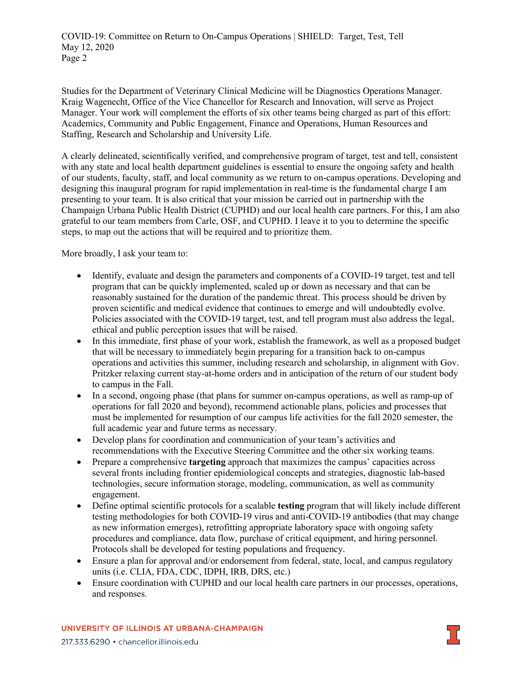COVID-19: Committee on Return to On-Campus Operations | SHIELD: Target, Test, Tell May 12, 2020 Page 2

Studies for the Department of Veterinary Clinical Medicine will be Diagnostics Operations Manager. Kraig Wagenecht, Office of the Vice Chancellor for Research and Innovation, will serve as Project Manager. Your work will complement the efforts of six other teams being charged as part of this effort: Academics, Community and Public Engagement, Finance and Operations, Human Resources and Staffing, Research and Scholarship and University Life.

A clearly delineated, scientifically verified, and comprehensive program of target, test and tell, consistent with any state and local health department guidelines is essential to ensure the ongoing safety and health of our students, faculty, staff, and local community as we return to on-campus operations. Developing and designing this inaugural program for rapid implementation in real-time is the fundamental charge I am presenting to your team. It is also critical that your mission be carried out in partnership with the Champaign Urbana Public Health District (CUPHD) and our local health care partners. For this, I am also grateful to our team members from Carle, OSF, and CUPHD. I leave it to you to determine the specific steps, to map out the actions that will be required and to prioritize them.

More broadly, I ask your team to:

- Identify, evaluate and design the parameters and components of a COVID-19 target, test and tell program that can be quickly implemented, scaled up or down as necessary and that can be reasonably sustained for the duration of the pandemic threat. This process should be driven by proven scientific and medical evidence that continues to emerge and will undoubtedly evolve. Policies associated with the COVID-19 target, test, and tell program must also address the legal, ethical and public perception issues that will be raised.
- In this immediate, first phase of your work, establish the framework, as well as a proposed budget that will be necessary to immediately begin preparing for a transition back to on-campus operations and activities this summer, including research and scholarship, in alignment with Gov. Pritzker relaxing current stay-at-home orders and in anticipation of the return of our student body to campus in the Fall.
- In a second, ongoing phase (that plans for summer on-campus operations, as well as ramp-up of operations for fall 2020 and beyond), recommend actionable plans, policies and processes that must be implemented for resumption of our campus life activities for the fall 2020 semester, the full academic year and future terms as necessary.
- Develop plans for coordination and communication of your team's activities and recommendations with the Executive Steering Committee and the other six working teams.
- Prepare a comprehensive **targeting** approach that maximizes the campus' capacities across several fronts including frontier epidemiological concepts and strategies, diagnostic lab-based technologies, secure information storage, modeling, communication, as well as community engagement.
- Define optimal scientific protocols for a scalable **testing** program that will likely include different testing methodologies for both COVID-19 virus and anti-COVID-19 antibodies (that may change as new information emerges), retrofitting appropriate laboratory space with ongoing safety procedures and compliance, data flow, purchase of critical equipment, and hiring personnel. Protocols shall be developed for testing populations and frequency.
- Ensure a plan for approval and/or endorsement from federal, state, local, and campus regulatory units (i.e. CLIA, FDA, CDC, IDPH, IRB, DRS, etc.)
- Ensure coordination with CUPHD and our local health care partners in our processes, operations, and responses.